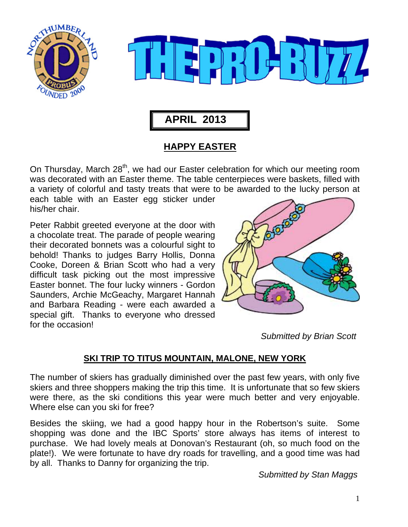



# **APRIL 2013**

## **HAPPY EASTER**

On Thursday, March 28<sup>th</sup>, we had our Easter celebration for which our meeting room was decorated with an Easter theme. The table centerpieces were baskets, filled with a variety of colorful and tasty treats that were to be awarded to the lucky person at

each table with an Easter egg sticker under his/her chair.

Peter Rabbit greeted everyone at the door with a chocolate treat. The parade of people wearing their decorated bonnets was a colourful sight to behold! Thanks to judges Barry Hollis, Donna Cooke, Doreen & Brian Scott who had a very difficult task picking out the most impressive Easter bonnet. The four lucky winners - Gordon Saunders, Archie McGeachy, Margaret Hannah and Barbara Reading - were each awarded a special gift. Thanks to everyone who dressed for the occasion!



 *Submitted by Brian Scott* 

### **SKI TRIP TO TITUS MOUNTAIN, MALONE, NEW YORK**

The number of skiers has gradually diminished over the past few years, with only five skiers and three shoppers making the trip this time. It is unfortunate that so few skiers were there, as the ski conditions this year were much better and very enjoyable. Where else can you ski for free?

Besides the skiing, we had a good happy hour in the Robertson's suite. Some shopping was done and the IBC Sports' store always has items of interest to purchase. We had lovely meals at Donovan's Restaurant (oh, so much food on the plate!). We were fortunate to have dry roads for travelling, and a good time was had by all. Thanks to Danny for organizing the trip.

 *Submitted by Stan Maggs*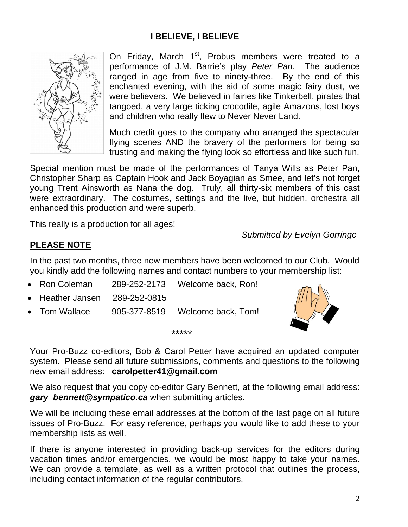## **I BELIEVE, I BELIEVE**



On Friday, March  $1<sup>st</sup>$ , Probus members were treated to a performance of J.M. Barrie's play *Peter Pan.* The audience ranged in age from five to ninety-three. By the end of this enchanted evening, with the aid of some magic fairy dust, we were believers. We believed in fairies like Tinkerbell, pirates that tangoed, a very large ticking crocodile, agile Amazons, lost boys and children who really flew to Never Never Land.

Much credit goes to the company who arranged the spectacular flying scenes AND the bravery of the performers for being so trusting and making the flying look so effortless and like such fun.

Special mention must be made of the performances of Tanya Wills as Peter Pan, Christopher Sharp as Captain Hook and Jack Boyagian as Smee, and let's not forget young Trent Ainsworth as Nana the dog. Truly, all thirty-six members of this cast were extraordinary. The costumes, settings and the live, but hidden, orchestra all enhanced this production and were superb.

This really is a production for all ages!

 *Submitted by Evelyn Gorringe* 

#### **PLEASE NOTE**

In the past two months, three new members have been welcomed to our Club. Would you kindly add the following names and contact numbers to your membership list:

- Ron Coleman 289-252-2173 Welcome back, Ron!
- Heather Jansen 289-252-0815
- Tom Wallace 905-377-8519 Welcome back, Tom!



Your Pro-Buzz co-editors, Bob & Carol Petter have acquired an updated computer system. Please send all future submissions, comments and questions to the following new email address: **carolpetter41@gmail.com**

\*\*\*\*\*

We also request that you copy co-editor Gary Bennett, at the following email address: *gary\_bennett@sympatico.ca* when submitting articles.

We will be including these email addresses at the bottom of the last page on all future issues of Pro-Buzz. For easy reference, perhaps you would like to add these to your membership lists as well.

If there is anyone interested in providing back-up services for the editors during vacation times and/or emergencies, we would be most happy to take your names. We can provide a template, as well as a written protocol that outlines the process, including contact information of the regular contributors.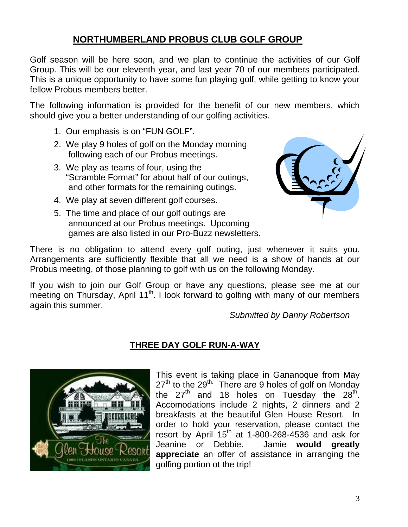# **NORTHUMBERLAND PROBUS CLUB GOLF GROUP**

Golf season will be here soon, and we plan to continue the activities of our Golf Group. This will be our eleventh year, and last year 70 of our members participated. This is a unique opportunity to have some fun playing golf, while getting to know your fellow Probus members better.

The following information is provided for the benefit of our new members, which should give you a better understanding of our golfing activities.

- 1. Our emphasis is on "FUN GOLF".
- 2. We play 9 holes of golf on the Monday morning following each of our Probus meetings.
- 3. We play as teams of four, using the "Scramble Format" for about half of our outings, and other formats for the remaining outings.
- 4. We play at seven different golf courses.
- 5. The time and place of our golf outings are announced at our Probus meetings. Upcoming games are also listed in our Pro-Buzz newsletters.



There is no obligation to attend every golf outing, just whenever it suits you. Arrangements are sufficiently flexible that all we need is a show of hands at our Probus meeting, of those planning to golf with us on the following Monday.

If you wish to join our Golf Group or have any questions, please see me at our meeting on Thursday, April 11<sup>th</sup>. I look forward to golfing with many of our members again this summer.

*Submitted by Danny Robertson* 

# **THREE DAY GOLF RUN-A-WAY**



This event is taking place in Gananoque from May  $27<sup>th</sup>$  to the  $29<sup>th</sup>$ . There are 9 holes of golf on Monday the  $27<sup>th</sup>$  and 18 holes on Tuesday the  $28<sup>th</sup>$ . Accomodations include 2 nights, 2 dinners and 2 breakfasts at the beautiful Glen House Resort. In order to hold your reservation, please contact the resort by April  $15^{th}$  at 1-800-268-4536 and ask for Jeanine or Debbie. Jamie **would greatly appreciate** an offer of assistance in arranging the golfing portion ot the trip!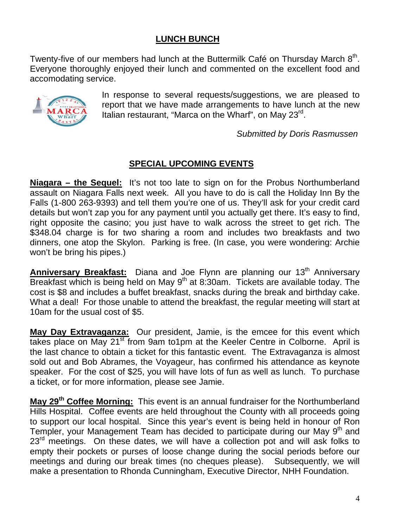#### **LUNCH BUNCH**

Twenty-five of our members had lunch at the Buttermilk Café on Thursday March  $8<sup>th</sup>$ . Everyone thoroughly enjoyed their lunch and commented on the excellent food and accomodating service.



In response to several requests/suggestions, we are pleased to report that we have made arrangements to have lunch at the new Italian restaurant. "Marca on the Wharf", on May 23<sup>rd</sup>.

 *Submitted by Doris Rasmussen* 

#### **SPECIAL UPCOMING EVENTS**

**Niagara – the Sequel:** It's not too late to sign on for the Probus Northumberland assault on Niagara Falls next week. All you have to do is call the Holiday Inn By the Falls (1-800 263-9393) and tell them you're one of us. They'll ask for your credit card details but won't zap you for any payment until you actually get there. It's easy to find, right opposite the casino; you just have to walk across the street to get rich. The \$348.04 charge is for two sharing a room and includes two breakfasts and two dinners, one atop the Skylon. Parking is free. (In case, you were wondering: Archie won't be bring his pipes.)

**Anniversary Breakfast:** Diana and Joe Flynn are planning our 13<sup>th</sup> Anniversary Breakfast which is being held on May  $9<sup>th</sup>$  at 8:30am. Tickets are available today. The cost is \$8 and includes a buffet breakfast, snacks during the break and birthday cake. What a deal! For those unable to attend the breakfast, the regular meeting will start at 10am for the usual cost of \$5.

**May Day Extravaganza:** Our president, Jamie, is the emcee for this event which takes place on May 21<sup>st</sup> from 9am to1pm at the Keeler Centre in Colborne. April is the last chance to obtain a ticket for this fantastic event. The Extravaganza is almost sold out and Bob Abrames, the Voyageur, has confirmed his attendance as keynote speaker. For the cost of \$25, you will have lots of fun as well as lunch. To purchase a ticket, or for more information, please see Jamie.

**May 29th Coffee Morning:** This event is an annual fundraiser for the Northumberland Hills Hospital. Coffee events are held throughout the County with all proceeds going to support our local hospital. Since this year's event is being held in honour of Ron Templer, your Management Team has decided to participate during our May 9<sup>th</sup> and 23<sup>rd</sup> meetings. On these dates, we will have a collection pot and will ask folks to empty their pockets or purses of loose change during the social periods before our meetings and during our break times (no cheques please). Subsequently, we will make a presentation to Rhonda Cunningham, Executive Director, NHH Foundation.